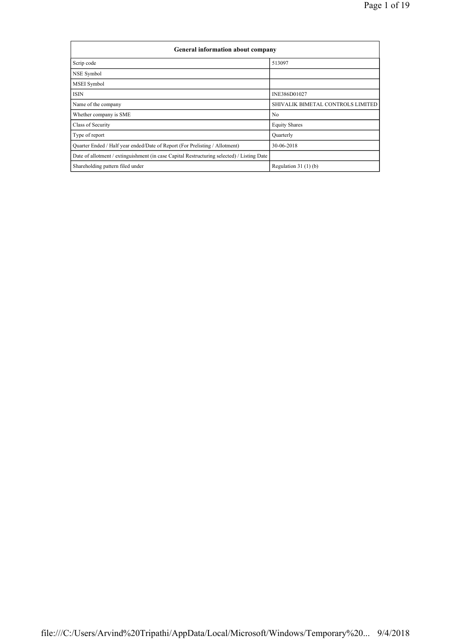| General information about company                                                          |                                   |  |  |  |  |  |  |  |
|--------------------------------------------------------------------------------------------|-----------------------------------|--|--|--|--|--|--|--|
| Scrip code                                                                                 | 513097                            |  |  |  |  |  |  |  |
| NSE Symbol                                                                                 |                                   |  |  |  |  |  |  |  |
| <b>MSEI</b> Symbol                                                                         |                                   |  |  |  |  |  |  |  |
| <b>ISIN</b>                                                                                | INE386D01027                      |  |  |  |  |  |  |  |
| Name of the company                                                                        | SHIVALIK BIMETAL CONTROLS LIMITED |  |  |  |  |  |  |  |
| Whether company is SME                                                                     | N <sub>0</sub>                    |  |  |  |  |  |  |  |
| Class of Security                                                                          | <b>Equity Shares</b>              |  |  |  |  |  |  |  |
| Type of report                                                                             | Quarterly                         |  |  |  |  |  |  |  |
| Quarter Ended / Half year ended/Date of Report (For Prelisting / Allotment)                | 30-06-2018                        |  |  |  |  |  |  |  |
| Date of allotment / extinguishment (in case Capital Restructuring selected) / Listing Date |                                   |  |  |  |  |  |  |  |
| Shareholding pattern filed under                                                           | Regulation $31(1)(b)$             |  |  |  |  |  |  |  |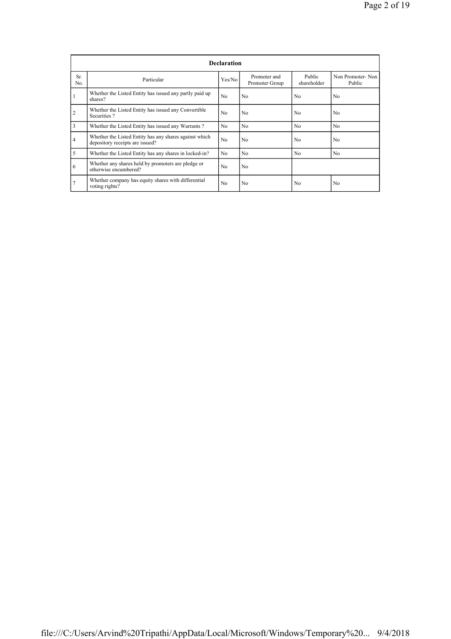|                | <b>Declaration</b>                                                                        |                |                                |                       |                            |  |  |  |  |  |  |  |
|----------------|-------------------------------------------------------------------------------------------|----------------|--------------------------------|-----------------------|----------------------------|--|--|--|--|--|--|--|
| Sr.<br>No.     | Particular                                                                                | Yes/No         | Promoter and<br>Promoter Group | Public<br>shareholder | Non Promoter-Non<br>Public |  |  |  |  |  |  |  |
| $\mathbf{1}$   | Whether the Listed Entity has issued any partly paid up<br>shares?                        | N <sub>0</sub> | N <sub>0</sub>                 | N <sub>0</sub>        | N <sub>0</sub>             |  |  |  |  |  |  |  |
| $\overline{2}$ | Whether the Listed Entity has issued any Convertible<br>Securities?                       | N <sub>0</sub> | N <sub>0</sub>                 | No.                   | No                         |  |  |  |  |  |  |  |
| 3              | Whether the Listed Entity has issued any Warrants?                                        | N <sub>0</sub> | N <sub>0</sub>                 | N <sub>0</sub>        | N <sub>0</sub>             |  |  |  |  |  |  |  |
| $\overline{4}$ | Whether the Listed Entity has any shares against which<br>depository receipts are issued? | N <sub>0</sub> | N <sub>0</sub>                 | N <sub>0</sub>        | N <sub>0</sub>             |  |  |  |  |  |  |  |
| 5              | Whether the Listed Entity has any shares in locked-in?                                    | N <sub>0</sub> | N <sub>0</sub>                 | No.                   | N <sub>0</sub>             |  |  |  |  |  |  |  |
| 6              | Whether any shares held by promoters are pledge or<br>otherwise encumbered?               | N <sub>0</sub> | N <sub>0</sub>                 |                       |                            |  |  |  |  |  |  |  |
| $\overline{7}$ | Whether company has equity shares with differential<br>voting rights?                     | N <sub>0</sub> | N <sub>0</sub>                 | N <sub>0</sub>        | N <sub>0</sub>             |  |  |  |  |  |  |  |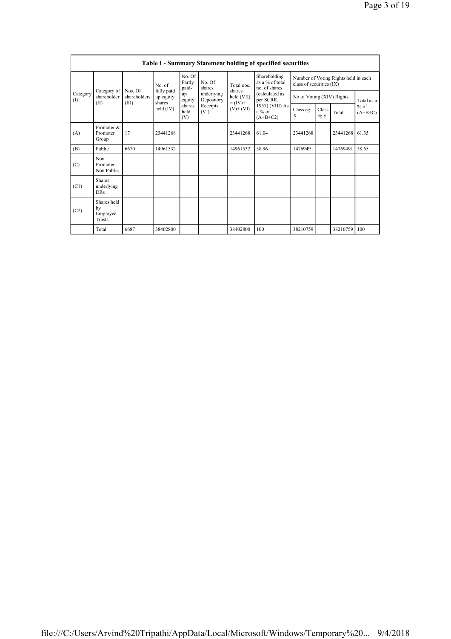| <b>Table I - Summary Statement holding of specified securities</b> |                                           |                         |                                   |                       |                          |                                                      |                                                                          |                           |                                      |          |                     |  |
|--------------------------------------------------------------------|-------------------------------------------|-------------------------|-----------------------------------|-----------------------|--------------------------|------------------------------------------------------|--------------------------------------------------------------------------|---------------------------|--------------------------------------|----------|---------------------|--|
|                                                                    | Category of<br>shareholder<br>(II)        | No. of                  | No. Of<br>Partly<br>paid-         | No. Of<br>shares      | Total nos.               | Shareholding<br>as a % of total<br>no. of shares     | class of securities (IX)                                                 |                           | Number of Voting Rights held in each |          |                     |  |
| Category<br>(I)                                                    |                                           | Nos. Of<br>shareholders | fully paid<br>up equity<br>shares | up<br>equity          | underlying<br>Depository | shares<br>held (VII)<br>$= (IV) +$<br>$(V)$ + $(VI)$ | (calculated as<br>per SCRR,<br>1957) (VIII) As<br>$a\%$ of<br>$(A+B+C2)$ | No of Voting (XIV) Rights |                                      |          | Total as a          |  |
|                                                                    |                                           | (III)                   | held (IV)                         | shares<br>held<br>(V) | Receipts<br>(VI)         |                                                      |                                                                          | Class eg:<br>X            | Class<br>eg:y                        | Total    | $%$ of<br>$(A+B+C)$ |  |
| (A)                                                                | Promoter &<br>Promoter<br>Group           | 17                      | 23441268                          |                       |                          | 23441268                                             | 61.04                                                                    | 23441268                  |                                      | 23441268 | 61.35               |  |
| (B)                                                                | Public                                    | 6670                    | 14961532                          |                       |                          | 14961532                                             | 38.96                                                                    | 14769491                  |                                      | 14769491 | 38.65               |  |
| (C)                                                                | Non<br>Promoter-<br>Non Public            |                         |                                   |                       |                          |                                                      |                                                                          |                           |                                      |          |                     |  |
| (C1)                                                               | <b>Shares</b><br>underlying<br><b>DRs</b> |                         |                                   |                       |                          |                                                      |                                                                          |                           |                                      |          |                     |  |
| (C2)                                                               | Shares held<br>by<br>Employee<br>Trusts   |                         |                                   |                       |                          |                                                      |                                                                          |                           |                                      |          |                     |  |
|                                                                    | Total                                     | 6687                    | 38402800                          |                       |                          | 38402800                                             | 100                                                                      | 38210759                  |                                      | 38210759 | 100                 |  |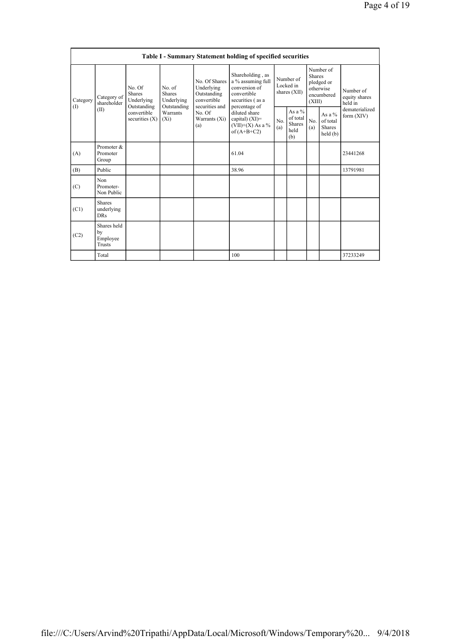|                 | Table I - Summary Statement holding of specified securities |                                                                                                                                                          |            |                                                                                                               |                                                                                                            |                                        |                                               |                                                                               |                                                   |                                       |  |  |
|-----------------|-------------------------------------------------------------|----------------------------------------------------------------------------------------------------------------------------------------------------------|------------|---------------------------------------------------------------------------------------------------------------|------------------------------------------------------------------------------------------------------------|----------------------------------------|-----------------------------------------------|-------------------------------------------------------------------------------|---------------------------------------------------|---------------------------------------|--|--|
| Category<br>(1) | Category of<br>shareholder<br>(II)                          | No. Of<br>No. of<br><b>Shares</b><br><b>Shares</b><br>Underlying<br>Outstanding<br>Outstanding<br>convertible<br>Warrants<br>securities $(X)$<br>$(X_i)$ | Underlying | No. Of Shares<br>Underlying<br>Outstanding<br>convertible<br>securities and<br>No. Of<br>Warrants (Xi)<br>(a) | Shareholding, as<br>a % assuming full<br>conversion of<br>convertible<br>securities (as a<br>percentage of | Number of<br>Locked in<br>shares (XII) |                                               | Number of<br><b>Shares</b><br>pledged or<br>otherwise<br>encumbered<br>(XIII) |                                                   | Number of<br>equity shares<br>held in |  |  |
|                 |                                                             |                                                                                                                                                          |            |                                                                                                               | diluted share<br>capital) $(XI)$ =<br>$(VII)+(X)$ As a %<br>of $(A+B+C2)$                                  | No.<br>(a)                             | As a $%$<br>of total<br>Shares<br>held<br>(b) | No.<br>(a)                                                                    | As a $%$<br>of total<br><b>Shares</b><br>held (b) | dematerialized<br>form $(XIV)$        |  |  |
| (A)             | Promoter &<br>Promoter<br>Group                             |                                                                                                                                                          |            |                                                                                                               | 61.04                                                                                                      |                                        |                                               |                                                                               |                                                   | 23441268                              |  |  |
| (B)             | Public                                                      |                                                                                                                                                          |            |                                                                                                               | 38.96                                                                                                      |                                        |                                               |                                                                               |                                                   | 13791981                              |  |  |
| (C)             | Non<br>Promoter-<br>Non Public                              |                                                                                                                                                          |            |                                                                                                               |                                                                                                            |                                        |                                               |                                                                               |                                                   |                                       |  |  |
| (C1)            | <b>Shares</b><br>underlying<br><b>DRs</b>                   |                                                                                                                                                          |            |                                                                                                               |                                                                                                            |                                        |                                               |                                                                               |                                                   |                                       |  |  |
| (C2)            | Shares held<br>by<br>Employee<br>Trusts                     |                                                                                                                                                          |            |                                                                                                               |                                                                                                            |                                        |                                               |                                                                               |                                                   |                                       |  |  |
|                 | Total                                                       |                                                                                                                                                          |            |                                                                                                               | 100                                                                                                        |                                        |                                               |                                                                               |                                                   | 37233249                              |  |  |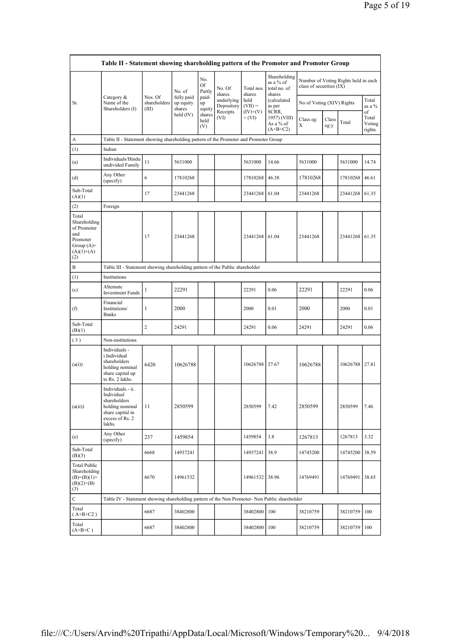|                                                                                                | Table II - Statement showing shareholding pattern of the Promoter and Promoter Group                                |                                  |                                   |                            |                          |                        |                                                     |                           |               |                                      |                                 |  |
|------------------------------------------------------------------------------------------------|---------------------------------------------------------------------------------------------------------------------|----------------------------------|-----------------------------------|----------------------------|--------------------------|------------------------|-----------------------------------------------------|---------------------------|---------------|--------------------------------------|---------------------------------|--|
|                                                                                                |                                                                                                                     |                                  | No. of                            | No.<br><b>Of</b><br>Partly | No. Of<br>shares         | Total nos.<br>shares   | Shareholding<br>as a % of<br>total no. of<br>shares | class of securities (IX)  |               | Number of Voting Rights held in each |                                 |  |
| Sr.                                                                                            | Category $\&$<br>Name of the<br>Shareholders (I)                                                                    | Nos. Of<br>shareholders<br>(III) | fully paid<br>up equity<br>shares | paid-<br>up<br>equity      | underlying<br>Depository | held<br>$(VII) =$      | (calculated<br>as per                               | No of Voting (XIV) Rights |               |                                      | Total<br>as a %                 |  |
|                                                                                                |                                                                                                                     |                                  | held (IV)                         | shares<br>held<br>(V)      | Receipts<br>(VI)         | $(IV)+(V)$<br>$+ (VI)$ | SCRR,<br>1957) (VIII)<br>As a % of<br>$(A+B+C2)$    | Class eg:<br>X            | Class<br>eg:y | Total                                | of<br>Total<br>Voting<br>rights |  |
| A                                                                                              | Table II - Statement showing shareholding pattern of the Promoter and Promoter Group                                |                                  |                                   |                            |                          |                        |                                                     |                           |               |                                      |                                 |  |
| (1)                                                                                            | Indian                                                                                                              |                                  |                                   |                            |                          |                        |                                                     |                           |               |                                      |                                 |  |
| (a)                                                                                            | Individuals/Hindu<br>undivided Family                                                                               | 11                               | 5631000                           |                            |                          | 5631000                | 14.66                                               | 5631000                   |               | 5631000                              | 14.74                           |  |
| (d)                                                                                            | Any Other<br>(specify)                                                                                              | 6                                | 17810268                          |                            |                          | 17810268               | 46.38                                               | 17810268                  |               | 17810268                             | 46.61                           |  |
| Sub-Total<br>(A)(1)                                                                            |                                                                                                                     | 17                               | 23441268                          |                            |                          | 23441268               | 61.04                                               | 23441268                  |               | 23441268                             | 61.35                           |  |
| (2)                                                                                            | Foreign                                                                                                             |                                  |                                   |                            |                          |                        |                                                     |                           |               |                                      |                                 |  |
| Total<br>Shareholding<br>of Promoter<br>and<br>Promoter<br>Group $(A)=$<br>$(A)(1)+(A)$<br>(2) |                                                                                                                     | 17                               | 23441268                          |                            |                          | 23441268 61.04         |                                                     | 23441268                  |               | 23441268                             | 61.35                           |  |
| В                                                                                              | Table III - Statement showing shareholding pattern of the Public shareholder                                        |                                  |                                   |                            |                          |                        |                                                     |                           |               |                                      |                                 |  |
| (1)                                                                                            | Institutions                                                                                                        |                                  |                                   |                            |                          |                        |                                                     |                           |               |                                      |                                 |  |
| (c)                                                                                            | Alternate<br><b>Investment Funds</b>                                                                                | $\mathbf{1}$                     | 22291                             |                            |                          | 22291                  | 0.06                                                | 22291                     |               | 22291                                | 0.06                            |  |
| (f)                                                                                            | Financial<br>Institutions/<br><b>Banks</b>                                                                          | $\mathbf{1}$                     | 2000                              |                            |                          | 2000                   | 0.01                                                | 2000                      |               | 2000                                 | 0.01                            |  |
| Sub-Total<br>(B)(1)                                                                            |                                                                                                                     | $\overline{c}$                   | 24291                             |                            |                          | 24291                  | 0.06                                                | 24291                     |               | 24291                                | 0.06                            |  |
| (3)                                                                                            | Non-institutions                                                                                                    |                                  |                                   |                            |                          |                        |                                                     |                           |               |                                      |                                 |  |
| (a(i))                                                                                         | Individuals -<br>i.Individual<br>shareholders<br>holding nominal<br>share capital up<br>to Rs. 2 lakhs.             | 6420                             | 10626788                          |                            |                          | 10626788 27.67         |                                                     | 10626788                  |               | 10626788                             | 27.81                           |  |
| (a(ii))                                                                                        | Individuals - ii.<br>Individual<br>shareholders<br>holding nominal<br>share capital in<br>excess of Rs. 2<br>lakhs. | 11                               | 2850599                           |                            |                          | 2850599                | 7.42                                                | 2850599                   |               | 2850599                              | 7.46                            |  |
| (e)                                                                                            | Any Other<br>(specify)                                                                                              | 237                              | 1459854                           |                            |                          | 1459854                | 3.8                                                 | 1267813                   |               | 1267813                              | 3.32                            |  |
| Sub-Total<br>(B)(3)                                                                            |                                                                                                                     | 6668                             | 14937241                          |                            |                          | 14937241               | 38.9                                                | 14745200                  |               | 14745200                             | 38.59                           |  |
| <b>Total Public</b><br>Shareholding<br>$(B)= (B)(1) +$<br>$(B)(2)+(B)$<br>(3)                  |                                                                                                                     | 6670                             | 14961532                          |                            |                          | 14961532 38.96         |                                                     | 14769491                  |               | 14769491                             | 38.65                           |  |
| $\mathbf C$                                                                                    | Table IV - Statement showing shareholding pattern of the Non Promoter- Non Public shareholder                       |                                  |                                   |                            |                          |                        |                                                     |                           |               |                                      |                                 |  |
| Total<br>$(A+B+C2)$                                                                            |                                                                                                                     | 6687                             | 38402800                          |                            |                          | 38402800               | 100                                                 | 38210759                  |               | 38210759                             | 100                             |  |
| Total<br>$(A+B+C)$                                                                             |                                                                                                                     | 6687                             | 38402800                          |                            |                          | 38402800               | 100                                                 | 38210759                  |               | 38210759                             | 100                             |  |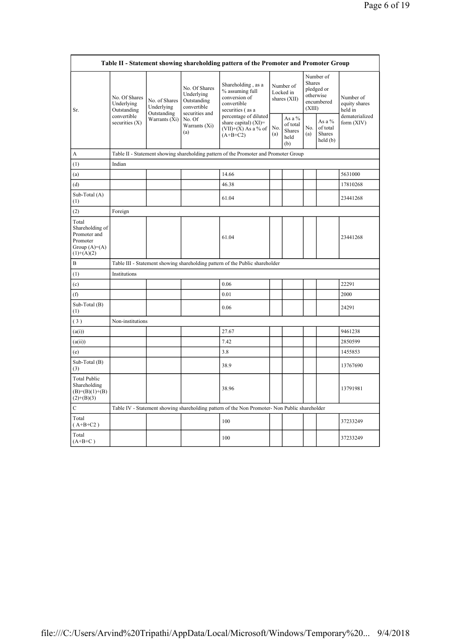| Table II - Statement showing shareholding pattern of the Promoter and Promoter Group   |                                            |                              |                                                           |                                                                                               |                                        |                                                    |                         |                                                    |                                       |  |  |  |
|----------------------------------------------------------------------------------------|--------------------------------------------|------------------------------|-----------------------------------------------------------|-----------------------------------------------------------------------------------------------|----------------------------------------|----------------------------------------------------|-------------------------|----------------------------------------------------|---------------------------------------|--|--|--|
| Sr.                                                                                    | No. Of Shares<br>Underlying<br>Outstanding | No. of Shares<br>Underlying  | No. Of Shares<br>Underlying<br>Outstanding<br>convertible | Shareholding, as a<br>% assuming full<br>conversion of<br>convertible<br>securities (as a     | Number of<br>Locked in<br>shares (XII) |                                                    | <b>Shares</b><br>(XIII) | Number of<br>pledged or<br>otherwise<br>encumbered | Number of<br>equity shares<br>held in |  |  |  |
|                                                                                        | convertible<br>securities $(X)$            | Outstanding<br>Warrants (Xi) | securities and<br>No. Of<br>Warrants (Xi)<br>(a)          | percentage of diluted<br>share capital) $(XI)$ =<br>$(VII)+(X)$ As a % of<br>$(A+B+C2)$       | No.<br>(a)                             | As a %<br>of total<br><b>Shares</b><br>held<br>(b) | No.<br>(a)              | As a %<br>of total<br>Shares<br>held(b)            | dematerialized<br>form $(XIV)$        |  |  |  |
| A                                                                                      |                                            |                              |                                                           | Table II - Statement showing shareholding pattern of the Promoter and Promoter Group          |                                        |                                                    |                         |                                                    |                                       |  |  |  |
| (1)                                                                                    | Indian                                     |                              |                                                           |                                                                                               |                                        |                                                    |                         |                                                    |                                       |  |  |  |
| (a)                                                                                    |                                            |                              |                                                           | 14.66                                                                                         |                                        |                                                    |                         |                                                    | 5631000                               |  |  |  |
| (d)                                                                                    |                                            |                              |                                                           | 46.38                                                                                         |                                        |                                                    |                         |                                                    | 17810268                              |  |  |  |
| Sub-Total (A)<br>(1)                                                                   |                                            |                              |                                                           | 61.04                                                                                         |                                        |                                                    |                         |                                                    | 23441268                              |  |  |  |
| (2)                                                                                    | Foreign                                    |                              |                                                           |                                                                                               |                                        |                                                    |                         |                                                    |                                       |  |  |  |
| Total<br>Shareholding of<br>Promoter and<br>Promoter<br>Group $(A)=A)$<br>$(1)+(A)(2)$ |                                            |                              |                                                           | 61.04                                                                                         |                                        |                                                    |                         |                                                    | 23441268                              |  |  |  |
| B                                                                                      |                                            |                              |                                                           | Table III - Statement showing shareholding pattern of the Public shareholder                  |                                        |                                                    |                         |                                                    |                                       |  |  |  |
| (1)                                                                                    | Institutions                               |                              |                                                           |                                                                                               |                                        |                                                    |                         |                                                    |                                       |  |  |  |
| (c)                                                                                    |                                            |                              |                                                           | 0.06                                                                                          |                                        |                                                    |                         |                                                    | 22291                                 |  |  |  |
| (f)                                                                                    |                                            |                              |                                                           | 0.01                                                                                          |                                        |                                                    |                         |                                                    | 2000                                  |  |  |  |
| Sub-Total (B)<br>(1)                                                                   |                                            |                              |                                                           | 0.06                                                                                          |                                        |                                                    |                         |                                                    | 24291                                 |  |  |  |
| (3)                                                                                    | Non-institutions                           |                              |                                                           |                                                                                               |                                        |                                                    |                         |                                                    |                                       |  |  |  |
| (a(i))                                                                                 |                                            |                              |                                                           | 27.67                                                                                         |                                        |                                                    |                         |                                                    | 9461238                               |  |  |  |
| (a(ii))                                                                                |                                            |                              |                                                           | 7.42                                                                                          |                                        |                                                    |                         |                                                    | 2850599                               |  |  |  |
| (e)                                                                                    |                                            |                              |                                                           | 3.8                                                                                           |                                        |                                                    |                         |                                                    | 1455853                               |  |  |  |
| Sub-Total (B)<br>(3)                                                                   |                                            |                              |                                                           | 38.9                                                                                          |                                        |                                                    |                         |                                                    | 13767690                              |  |  |  |
| <b>Total Public</b><br>Shareholding<br>$(B)= (B)(1)+(B)$<br>$(2)+(B)(3)$               |                                            |                              |                                                           | 38.96                                                                                         |                                        |                                                    |                         |                                                    | 13791981                              |  |  |  |
| $\mathbf C$                                                                            |                                            |                              |                                                           | Table IV - Statement showing shareholding pattern of the Non Promoter- Non Public shareholder |                                        |                                                    |                         |                                                    |                                       |  |  |  |
| Total<br>$(A+B+C2)$                                                                    |                                            |                              |                                                           | 100                                                                                           |                                        |                                                    |                         |                                                    | 37233249                              |  |  |  |
| Total<br>$(A+B+C)$                                                                     |                                            |                              |                                                           | 100                                                                                           |                                        |                                                    |                         |                                                    | 37233249                              |  |  |  |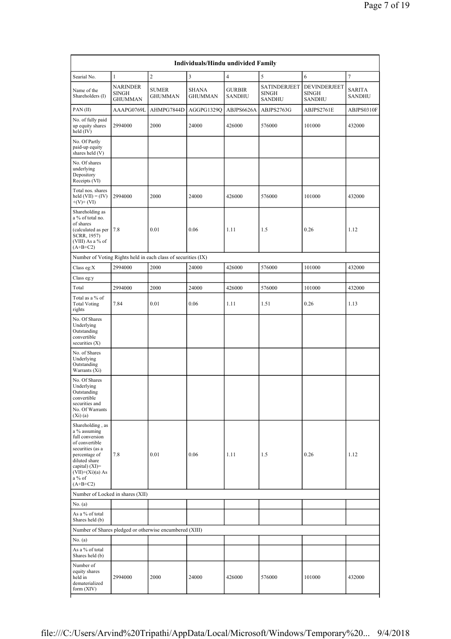| $\overline{c}$<br>3<br>$\overline{4}$<br>5<br>6<br>$\tau$<br>Searial No.<br>1<br><b>NARINDER</b><br>SATINDERJEET<br>DEVINDERJEET<br><b>SUMER</b><br><b>SHANA</b><br><b>GURBIR</b><br>Name of the<br><b>SINGH</b><br><b>SINGH</b><br><b>SINGH</b><br>Shareholders (I)<br><b>GHUMMAN</b><br><b>GHUMMAN</b><br>SANDHU<br><b>GHUMMAN</b><br>SANDHU<br><b>SANDHU</b><br>AAAPG0769L<br>AHMPG7844D<br>AGGPG1329Q<br>ABJPS6626A<br>ABJPS2763G<br>ABJPS2761E<br>PAN(II)<br>No. of fully paid<br>2000<br>24000<br>101000<br>up equity shares<br>2994000<br>426000<br>576000<br>held (IV)<br>No. Of Partly<br>paid-up equity<br>shares held (V)<br>No. Of shares<br>underlying<br>Depository<br>Receipts (VI)<br>Total nos. shares<br>2994000<br>2000<br>24000<br>426000<br>576000<br>101000<br>held $(VII) = (IV)$<br>$+(V)+(VI)$<br>Shareholding as<br>a % of total no.<br>of shares<br>(calculated as per<br>7.8<br>0.01<br>0.06<br>1.11<br>1.5<br>0.26<br>SCRR, 1957)<br>(VIII) As a % of<br>$(A+B+C2)$<br>Number of Voting Rights held in each class of securities (IX)<br>2994000<br>2000<br>24000<br>426000<br>576000<br>101000<br>Class eg: $X$<br>Class eg:y<br>2994000<br>2000<br>24000<br>426000<br>576000<br>101000<br>Total | Individuals/Hindu undivided Family |  |  |  |  |  |  |  |  |  |  |
|-------------------------------------------------------------------------------------------------------------------------------------------------------------------------------------------------------------------------------------------------------------------------------------------------------------------------------------------------------------------------------------------------------------------------------------------------------------------------------------------------------------------------------------------------------------------------------------------------------------------------------------------------------------------------------------------------------------------------------------------------------------------------------------------------------------------------------------------------------------------------------------------------------------------------------------------------------------------------------------------------------------------------------------------------------------------------------------------------------------------------------------------------------------------------------------------------------------------------------|------------------------------------|--|--|--|--|--|--|--|--|--|--|
|                                                                                                                                                                                                                                                                                                                                                                                                                                                                                                                                                                                                                                                                                                                                                                                                                                                                                                                                                                                                                                                                                                                                                                                                                               |                                    |  |  |  |  |  |  |  |  |  |  |
|                                                                                                                                                                                                                                                                                                                                                                                                                                                                                                                                                                                                                                                                                                                                                                                                                                                                                                                                                                                                                                                                                                                                                                                                                               | SARITA<br>SANDHU                   |  |  |  |  |  |  |  |  |  |  |
|                                                                                                                                                                                                                                                                                                                                                                                                                                                                                                                                                                                                                                                                                                                                                                                                                                                                                                                                                                                                                                                                                                                                                                                                                               | ABJPS0310F                         |  |  |  |  |  |  |  |  |  |  |
|                                                                                                                                                                                                                                                                                                                                                                                                                                                                                                                                                                                                                                                                                                                                                                                                                                                                                                                                                                                                                                                                                                                                                                                                                               | 432000                             |  |  |  |  |  |  |  |  |  |  |
|                                                                                                                                                                                                                                                                                                                                                                                                                                                                                                                                                                                                                                                                                                                                                                                                                                                                                                                                                                                                                                                                                                                                                                                                                               |                                    |  |  |  |  |  |  |  |  |  |  |
|                                                                                                                                                                                                                                                                                                                                                                                                                                                                                                                                                                                                                                                                                                                                                                                                                                                                                                                                                                                                                                                                                                                                                                                                                               |                                    |  |  |  |  |  |  |  |  |  |  |
|                                                                                                                                                                                                                                                                                                                                                                                                                                                                                                                                                                                                                                                                                                                                                                                                                                                                                                                                                                                                                                                                                                                                                                                                                               | 432000                             |  |  |  |  |  |  |  |  |  |  |
|                                                                                                                                                                                                                                                                                                                                                                                                                                                                                                                                                                                                                                                                                                                                                                                                                                                                                                                                                                                                                                                                                                                                                                                                                               | 1.12                               |  |  |  |  |  |  |  |  |  |  |
|                                                                                                                                                                                                                                                                                                                                                                                                                                                                                                                                                                                                                                                                                                                                                                                                                                                                                                                                                                                                                                                                                                                                                                                                                               |                                    |  |  |  |  |  |  |  |  |  |  |
|                                                                                                                                                                                                                                                                                                                                                                                                                                                                                                                                                                                                                                                                                                                                                                                                                                                                                                                                                                                                                                                                                                                                                                                                                               | 432000                             |  |  |  |  |  |  |  |  |  |  |
|                                                                                                                                                                                                                                                                                                                                                                                                                                                                                                                                                                                                                                                                                                                                                                                                                                                                                                                                                                                                                                                                                                                                                                                                                               |                                    |  |  |  |  |  |  |  |  |  |  |
|                                                                                                                                                                                                                                                                                                                                                                                                                                                                                                                                                                                                                                                                                                                                                                                                                                                                                                                                                                                                                                                                                                                                                                                                                               | 432000                             |  |  |  |  |  |  |  |  |  |  |
| Total as a % of<br>0.01<br>0.06<br>0.26<br><b>Total Voting</b><br>7.84<br>1.11<br>1.51<br>rights                                                                                                                                                                                                                                                                                                                                                                                                                                                                                                                                                                                                                                                                                                                                                                                                                                                                                                                                                                                                                                                                                                                              | 1.13                               |  |  |  |  |  |  |  |  |  |  |
| No. Of Shares<br>Underlying<br>Outstanding<br>convertible<br>securities $(X)$                                                                                                                                                                                                                                                                                                                                                                                                                                                                                                                                                                                                                                                                                                                                                                                                                                                                                                                                                                                                                                                                                                                                                 |                                    |  |  |  |  |  |  |  |  |  |  |
| No. of Shares<br>Underlying<br>Outstanding<br>Warrants (Xi)                                                                                                                                                                                                                                                                                                                                                                                                                                                                                                                                                                                                                                                                                                                                                                                                                                                                                                                                                                                                                                                                                                                                                                   |                                    |  |  |  |  |  |  |  |  |  |  |
| No. Of Shares<br>Underlying<br>Outstanding<br>convertible<br>securities and<br>No. Of Warrants<br>(Xi)(a)                                                                                                                                                                                                                                                                                                                                                                                                                                                                                                                                                                                                                                                                                                                                                                                                                                                                                                                                                                                                                                                                                                                     |                                    |  |  |  |  |  |  |  |  |  |  |
| Shareholding, as<br>a % assuming<br>full conversion<br>of convertible<br>securities (as a<br>7.8<br>0.01<br>0.06<br>1.11<br>1.5<br>0.26<br>percentage of<br>diluted share<br>capital) $(XI)$ =<br>$(VII)+(Xi)(a) As$<br>$a\%$ of<br>$(A+B+C2)$                                                                                                                                                                                                                                                                                                                                                                                                                                                                                                                                                                                                                                                                                                                                                                                                                                                                                                                                                                                | 1.12                               |  |  |  |  |  |  |  |  |  |  |
| Number of Locked in shares (XII)                                                                                                                                                                                                                                                                                                                                                                                                                                                                                                                                                                                                                                                                                                                                                                                                                                                                                                                                                                                                                                                                                                                                                                                              |                                    |  |  |  |  |  |  |  |  |  |  |
| No. $(a)$                                                                                                                                                                                                                                                                                                                                                                                                                                                                                                                                                                                                                                                                                                                                                                                                                                                                                                                                                                                                                                                                                                                                                                                                                     |                                    |  |  |  |  |  |  |  |  |  |  |
| As a % of total<br>Shares held (b)                                                                                                                                                                                                                                                                                                                                                                                                                                                                                                                                                                                                                                                                                                                                                                                                                                                                                                                                                                                                                                                                                                                                                                                            |                                    |  |  |  |  |  |  |  |  |  |  |
| Number of Shares pledged or otherwise encumbered (XIII)                                                                                                                                                                                                                                                                                                                                                                                                                                                                                                                                                                                                                                                                                                                                                                                                                                                                                                                                                                                                                                                                                                                                                                       |                                    |  |  |  |  |  |  |  |  |  |  |
| No. (a)                                                                                                                                                                                                                                                                                                                                                                                                                                                                                                                                                                                                                                                                                                                                                                                                                                                                                                                                                                                                                                                                                                                                                                                                                       |                                    |  |  |  |  |  |  |  |  |  |  |
| As a % of total<br>Shares held (b)                                                                                                                                                                                                                                                                                                                                                                                                                                                                                                                                                                                                                                                                                                                                                                                                                                                                                                                                                                                                                                                                                                                                                                                            |                                    |  |  |  |  |  |  |  |  |  |  |
| Number of<br>equity shares<br>held in<br>2994000<br>2000<br>24000<br>426000<br>576000<br>101000<br>432000<br>dematerialized<br>form $(XIV)$                                                                                                                                                                                                                                                                                                                                                                                                                                                                                                                                                                                                                                                                                                                                                                                                                                                                                                                                                                                                                                                                                   |                                    |  |  |  |  |  |  |  |  |  |  |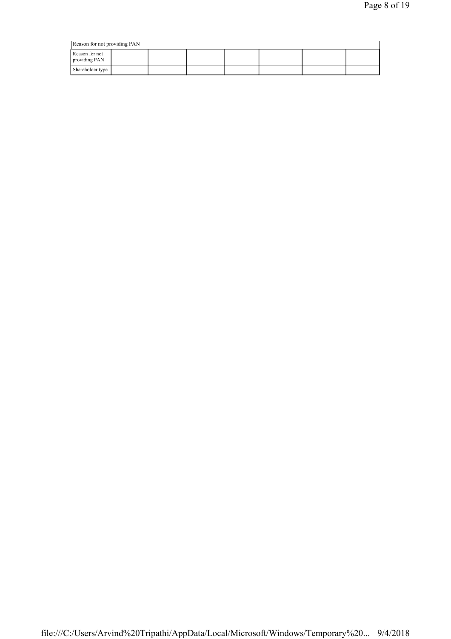| Reason for not providing PAN    |  |  |  |  |  |  |  |  |  |
|---------------------------------|--|--|--|--|--|--|--|--|--|
| Reason for not<br>providing PAN |  |  |  |  |  |  |  |  |  |
| Shareholder type                |  |  |  |  |  |  |  |  |  |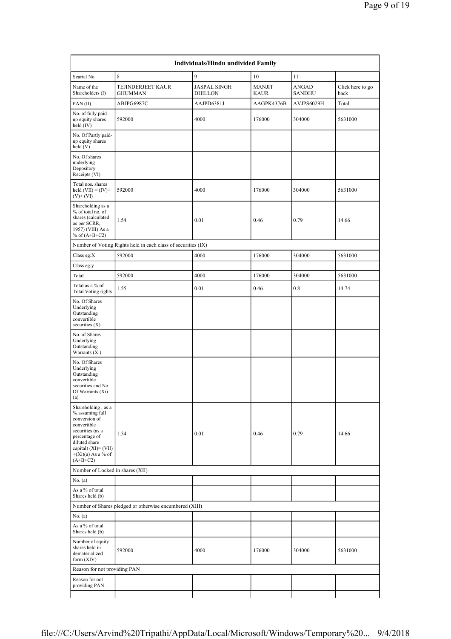| Individuals/Hindu undivided Family                                                                                                                                                           |                                                               |                                       |                              |                               |                          |  |  |  |  |  |  |
|----------------------------------------------------------------------------------------------------------------------------------------------------------------------------------------------|---------------------------------------------------------------|---------------------------------------|------------------------------|-------------------------------|--------------------------|--|--|--|--|--|--|
| Searial No.                                                                                                                                                                                  | 8                                                             | 9                                     | 10                           | 11                            |                          |  |  |  |  |  |  |
| Name of the<br>Shareholders (I)                                                                                                                                                              | TEJINDERJEET KAUR<br><b>GHUMMAN</b>                           | <b>JASPAL SINGH</b><br><b>DHILLON</b> | <b>MANJIT</b><br><b>KAUR</b> | <b>ANGAD</b><br><b>SANDHU</b> | Click here to go<br>back |  |  |  |  |  |  |
| PAN(II)                                                                                                                                                                                      | ABJPG6987C                                                    | AAJPD6381J                            | AAGPK4376B                   | AVJPS6029H                    | Total                    |  |  |  |  |  |  |
| No. of fully paid<br>up equity shares<br>held (IV)                                                                                                                                           | 592000                                                        | 4000                                  | 176000                       | 304000                        | 5631000                  |  |  |  |  |  |  |
| No. Of Partly paid-<br>up equity shares<br>held(V)                                                                                                                                           |                                                               |                                       |                              |                               |                          |  |  |  |  |  |  |
| No. Of shares<br>underlying<br>Depository<br>Receipts (VI)                                                                                                                                   |                                                               |                                       |                              |                               |                          |  |  |  |  |  |  |
| Total nos. shares<br>held $(VII) = (IV) +$<br>$(V)$ + $(VI)$                                                                                                                                 | 592000                                                        | 4000                                  | 176000                       | 304000                        | 5631000                  |  |  |  |  |  |  |
| Shareholding as a<br>% of total no. of<br>shares (calculated<br>as per SCRR,<br>1957) (VIII) As a<br>% of $(A+B+C2)$                                                                         | 1.54                                                          | 0.01                                  | 0.46                         | 0.79                          | 14.66                    |  |  |  |  |  |  |
|                                                                                                                                                                                              | Number of Voting Rights held in each class of securities (IX) |                                       |                              |                               |                          |  |  |  |  |  |  |
| Class eg: $X$                                                                                                                                                                                | 592000                                                        | 4000                                  | 176000                       | 304000                        | 5631000                  |  |  |  |  |  |  |
| Class eg:y                                                                                                                                                                                   |                                                               |                                       |                              |                               |                          |  |  |  |  |  |  |
| Total                                                                                                                                                                                        | 592000                                                        | 4000                                  | 176000                       | 304000                        | 5631000                  |  |  |  |  |  |  |
| Total as a % of<br>Total Voting rights                                                                                                                                                       | 1.55                                                          | 0.01                                  | 0.46                         | 0.8                           | 14.74                    |  |  |  |  |  |  |
| No. Of Shares<br>Underlying<br>Outstanding<br>convertible<br>securities $(X)$                                                                                                                |                                                               |                                       |                              |                               |                          |  |  |  |  |  |  |
| No. of Shares<br>Underlying<br>Outstanding<br>Warrants (Xi)                                                                                                                                  |                                                               |                                       |                              |                               |                          |  |  |  |  |  |  |
| No. Of Shares<br>Underlying<br>Outstanding<br>convertible<br>securities and No.<br>Of Warrants (Xi)<br>(a)                                                                                   |                                                               |                                       |                              |                               |                          |  |  |  |  |  |  |
| Shareholding, as a<br>% assuming full<br>conversion of<br>convertible<br>securities (as a<br>percentage of<br>diluted share<br>capital) $(XI) = (VII)$<br>$+(Xi)(a)$ As a % of<br>$(A+B+C2)$ | 1.54                                                          | 0.01                                  | 0.46                         | 0.79                          | 14.66                    |  |  |  |  |  |  |
| Number of Locked in shares (XII)                                                                                                                                                             |                                                               |                                       |                              |                               |                          |  |  |  |  |  |  |
| No. (a)                                                                                                                                                                                      |                                                               |                                       |                              |                               |                          |  |  |  |  |  |  |
| As a % of total<br>Shares held (b)                                                                                                                                                           |                                                               |                                       |                              |                               |                          |  |  |  |  |  |  |
|                                                                                                                                                                                              | Number of Shares pledged or otherwise encumbered (XIII)       |                                       |                              |                               |                          |  |  |  |  |  |  |
| No. (a)                                                                                                                                                                                      |                                                               |                                       |                              |                               |                          |  |  |  |  |  |  |
| As a % of total<br>Shares held (b)                                                                                                                                                           |                                                               |                                       |                              |                               |                          |  |  |  |  |  |  |
| Number of equity<br>shares held in<br>dematerialized<br>form (XIV)                                                                                                                           | 592000                                                        | 4000                                  | 176000                       | 304000                        | 5631000                  |  |  |  |  |  |  |
| Reason for not providing PAN                                                                                                                                                                 |                                                               |                                       |                              |                               |                          |  |  |  |  |  |  |
| Reason for not<br>providing PAN                                                                                                                                                              |                                                               |                                       |                              |                               |                          |  |  |  |  |  |  |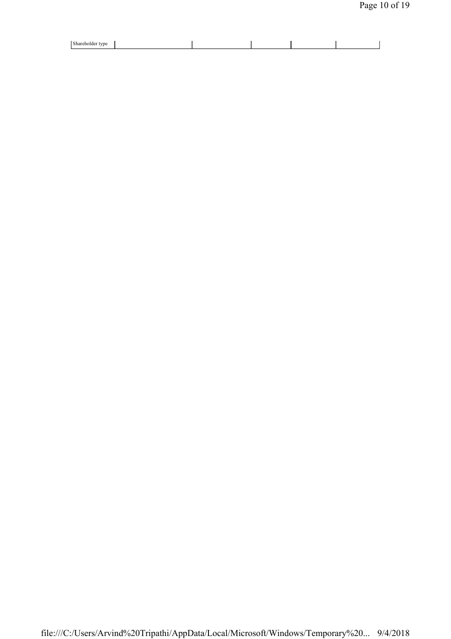| Shareholder type |  |  |  |
|------------------|--|--|--|
| . .              |  |  |  |
|                  |  |  |  |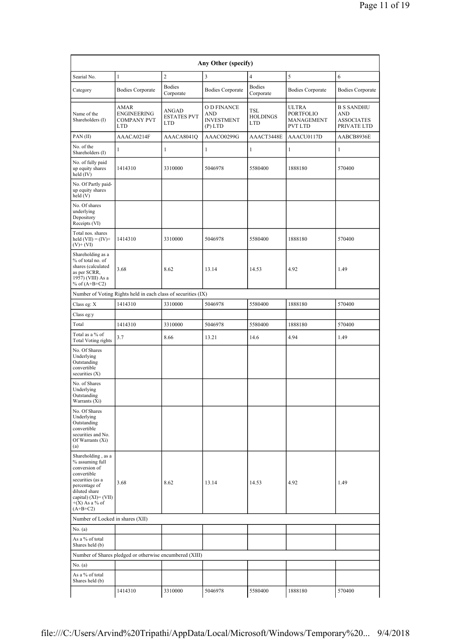| Any Other (specify)                                                                                                                                                                      |                                                         |                                                  |                                                      |                                      |                                                                  |                                                              |  |  |  |  |
|------------------------------------------------------------------------------------------------------------------------------------------------------------------------------------------|---------------------------------------------------------|--------------------------------------------------|------------------------------------------------------|--------------------------------------|------------------------------------------------------------------|--------------------------------------------------------------|--|--|--|--|
| Searial No.                                                                                                                                                                              | $\mathbf{1}$                                            | $\overline{2}$                                   | $\overline{\mathbf{3}}$                              | $\overline{4}$                       | 5                                                                | 6                                                            |  |  |  |  |
| Category                                                                                                                                                                                 | <b>Bodies Corporate</b>                                 | <b>Bodies</b><br>Corporate                       | <b>Bodies Corporate</b>                              | <b>Bodies</b><br>Corporate           | <b>Bodies Corporate</b>                                          | <b>Bodies Corporate</b>                                      |  |  |  |  |
| Name of the<br>Shareholders (I)                                                                                                                                                          | AMAR<br>ENGINEERING<br><b>COMPANY PVT</b><br><b>LTD</b> | <b>ANGAD</b><br><b>ESTATES PVT</b><br><b>LTD</b> | O D FINANCE<br>AND<br><b>INVESTMENT</b><br>$(P)$ LTD | <b>TSL</b><br><b>HOLDINGS</b><br>LTD | <b>ULTRA</b><br><b>PORTFOLIO</b><br>MANAGEMENT<br><b>PVT LTD</b> | <b>B S SANDHU</b><br>AND<br><b>ASSOCIATES</b><br>PRIVATE LTD |  |  |  |  |
| PAN(II)                                                                                                                                                                                  | AAACA0214F                                              | AAACA8041O                                       | AAACO0299G                                           | AAACT3448E                           | AAACU0117D                                                       | AABCB8936E                                                   |  |  |  |  |
| No. of the<br>Shareholders (I)                                                                                                                                                           | 1                                                       | $\mathbf{1}$                                     | $\mathbf{1}$                                         | 1                                    | $\mathbf{1}$                                                     | 1                                                            |  |  |  |  |
| No. of fully paid<br>up equity shares<br>held (IV)                                                                                                                                       | 1414310                                                 | 3310000                                          | 5046978                                              | 5580400                              | 1888180                                                          | 570400                                                       |  |  |  |  |
| No. Of Partly paid-<br>up equity shares<br>held(V)                                                                                                                                       |                                                         |                                                  |                                                      |                                      |                                                                  |                                                              |  |  |  |  |
| No. Of shares<br>underlying<br>Depository<br>Receipts (VI)                                                                                                                               |                                                         |                                                  |                                                      |                                      |                                                                  |                                                              |  |  |  |  |
| Total nos. shares<br>held $(VII) = (IV) +$<br>$(V)$ + $(VI)$                                                                                                                             | 1414310                                                 | 3310000                                          | 5046978                                              | 5580400                              | 1888180                                                          | 570400                                                       |  |  |  |  |
| Shareholding as a<br>% of total no. of<br>shares (calculated<br>as per SCRR,<br>1957) (VIII) As a<br>% of $(A+B+C2)$                                                                     | 3.68                                                    | 8.62                                             | 13.14                                                | 14.53                                | 4.92                                                             | 1.49                                                         |  |  |  |  |
| Number of Voting Rights held in each class of securities (IX)                                                                                                                            |                                                         |                                                  |                                                      |                                      |                                                                  |                                                              |  |  |  |  |
| Class eg: X                                                                                                                                                                              | 1414310                                                 | 3310000                                          | 5046978                                              | 5580400                              | 1888180                                                          | 570400                                                       |  |  |  |  |
| Class eg:y                                                                                                                                                                               |                                                         |                                                  |                                                      |                                      |                                                                  |                                                              |  |  |  |  |
| Total                                                                                                                                                                                    | 1414310                                                 | 3310000                                          | 5046978                                              | 5580400                              | 1888180                                                          | 570400                                                       |  |  |  |  |
| Total as a % of<br><b>Total Voting rights</b>                                                                                                                                            | 3.7                                                     | 8.66                                             | 13.21                                                | 14.6                                 | 4.94                                                             | 1.49                                                         |  |  |  |  |
| No. Of Shares<br>Underlying<br>Outstanding<br>convertible<br>securities $(X)$                                                                                                            |                                                         |                                                  |                                                      |                                      |                                                                  |                                                              |  |  |  |  |
| No. of Shares<br>Underlying<br>Outstanding<br>Warrants (Xi)                                                                                                                              |                                                         |                                                  |                                                      |                                      |                                                                  |                                                              |  |  |  |  |
| No. Of Shares<br>Underlying<br>Outstanding<br>convertible<br>securities and No.<br>Of Warrants (Xi)<br>(a)                                                                               |                                                         |                                                  |                                                      |                                      |                                                                  |                                                              |  |  |  |  |
| Shareholding, as a<br>% assuming full<br>conversion of<br>convertible<br>securities (as a<br>percentage of<br>diluted share<br>capital) $(XI) = (VII)$<br>$+(X)$ As a % of<br>$(A+B+C2)$ | 3.68                                                    | 8.62                                             | 13.14                                                | 14.53                                | 4.92                                                             | 1.49                                                         |  |  |  |  |
| Number of Locked in shares (XII)                                                                                                                                                         |                                                         |                                                  |                                                      |                                      |                                                                  |                                                              |  |  |  |  |
| No. (a)                                                                                                                                                                                  |                                                         |                                                  |                                                      |                                      |                                                                  |                                                              |  |  |  |  |
| As a % of total<br>Shares held (b)                                                                                                                                                       |                                                         |                                                  |                                                      |                                      |                                                                  |                                                              |  |  |  |  |
|                                                                                                                                                                                          | Number of Shares pledged or otherwise encumbered (XIII) |                                                  |                                                      |                                      |                                                                  |                                                              |  |  |  |  |
| No. (a)                                                                                                                                                                                  |                                                         |                                                  |                                                      |                                      |                                                                  |                                                              |  |  |  |  |
| As a % of total<br>Shares held (b)                                                                                                                                                       |                                                         |                                                  |                                                      |                                      |                                                                  |                                                              |  |  |  |  |
|                                                                                                                                                                                          | 1414310                                                 | 3310000                                          | 5046978                                              | 5580400                              | 1888180                                                          | 570400                                                       |  |  |  |  |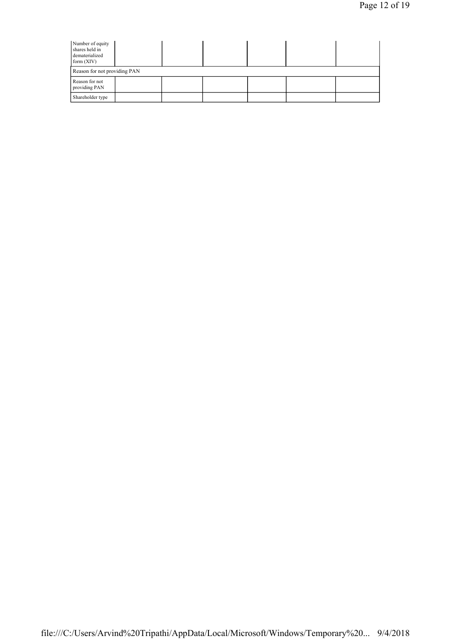| Number of equity<br>shares held in<br>dematerialized<br>form $(XIV)$ |  |  |  |  |  |  |  |  |  |
|----------------------------------------------------------------------|--|--|--|--|--|--|--|--|--|
| Reason for not providing PAN                                         |  |  |  |  |  |  |  |  |  |
| Reason for not<br>providing PAN                                      |  |  |  |  |  |  |  |  |  |
| Shareholder type                                                     |  |  |  |  |  |  |  |  |  |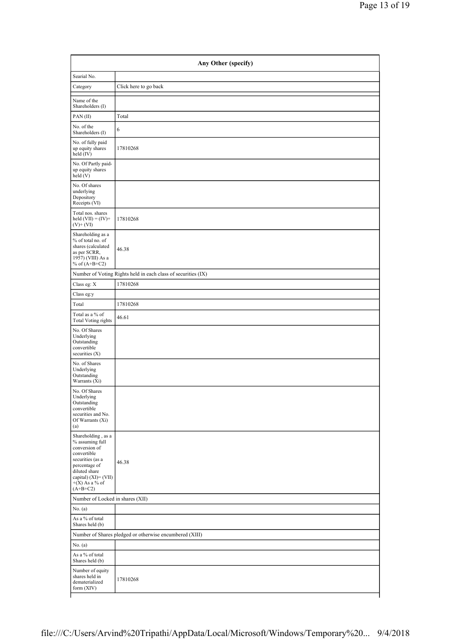| Searial No.                                                                                                                                                                              |                                                               |
|------------------------------------------------------------------------------------------------------------------------------------------------------------------------------------------|---------------------------------------------------------------|
| Category                                                                                                                                                                                 | Click here to go back                                         |
| Name of the<br>Shareholders (I)                                                                                                                                                          |                                                               |
| PAN(II)                                                                                                                                                                                  | Total                                                         |
| No. of the<br>Shareholders (I)                                                                                                                                                           | 6                                                             |
| No. of fully paid<br>up equity shares<br>held (IV)                                                                                                                                       | 17810268                                                      |
| No. Of Partly paid-<br>up equity shares<br>held(V)                                                                                                                                       |                                                               |
| No. Of shares<br>underlying<br>Depository<br>Receipts (VI)                                                                                                                               |                                                               |
| Total nos. shares<br>held $(VII) = (IV) +$<br>$(V)$ + $(VI)$                                                                                                                             | 17810268                                                      |
| Shareholding as a<br>% of total no. of<br>shares (calculated<br>as per SCRR,<br>1957) (VIII) As a<br>% of $(A+B+C2)$                                                                     | 46.38                                                         |
|                                                                                                                                                                                          | Number of Voting Rights held in each class of securities (IX) |
| Class eg: X                                                                                                                                                                              | 17810268                                                      |
| Class eg:y                                                                                                                                                                               |                                                               |
| Total                                                                                                                                                                                    | 17810268                                                      |
| Total as a % of<br><b>Total Voting rights</b>                                                                                                                                            | 46.61                                                         |
| No. Of Shares<br>Underlying<br>Outstanding<br>convertible<br>securities $(X)$                                                                                                            |                                                               |
| No. of Shares<br>Underlying<br>Outstanding<br>Warrants (Xi)                                                                                                                              |                                                               |
| No. Of Shares<br>Underlying<br>Outstanding<br>convertible<br>securities and No.<br>Of Warrants (Xi)<br>(a)                                                                               |                                                               |
| Shareholding, as a<br>% assuming full<br>conversion of<br>convertible<br>securities (as a<br>percentage of<br>diluted share<br>capital) $(XI) = (VII)$<br>$+(X)$ As a % of<br>$(A+B+C2)$ | 46.38                                                         |
| Number of Locked in shares (XII)                                                                                                                                                         |                                                               |
| No. (a)                                                                                                                                                                                  |                                                               |
| As a % of total<br>Shares held (b)                                                                                                                                                       |                                                               |
|                                                                                                                                                                                          | Number of Shares pledged or otherwise encumbered (XIII)       |
| No. (a)                                                                                                                                                                                  |                                                               |
| As a % of total<br>Shares held (b)                                                                                                                                                       |                                                               |
| Number of equity<br>shares held in<br>dematerialized<br>form $(XIV)$                                                                                                                     | 17810268                                                      |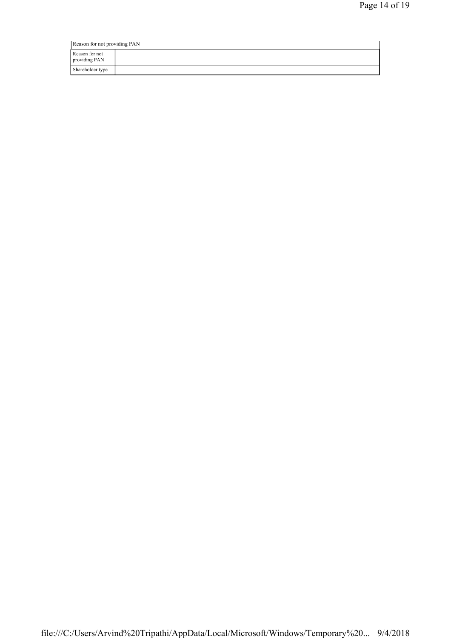| Reason for not providing PAN    |  |  |
|---------------------------------|--|--|
| Reason for not<br>providing PAN |  |  |
| Shareholder type                |  |  |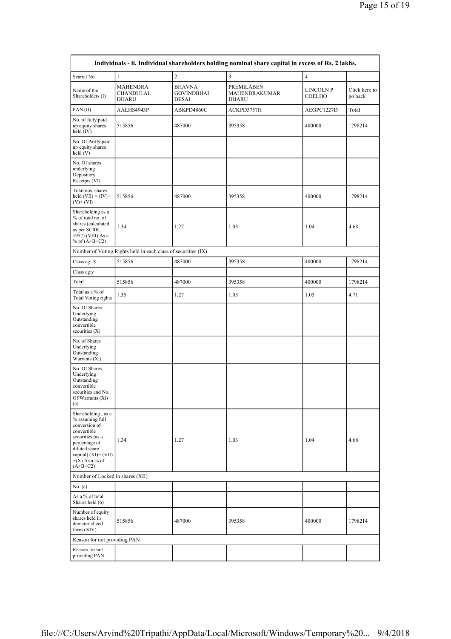| Individuals - ii. Individual shareholders holding nominal share capital in excess of Rs. 2 lakhs.                                                                                     |                                                               |                                                    |                                                                           |                |                          |  |  |
|---------------------------------------------------------------------------------------------------------------------------------------------------------------------------------------|---------------------------------------------------------------|----------------------------------------------------|---------------------------------------------------------------------------|----------------|--------------------------|--|--|
| Searial No.                                                                                                                                                                           | $\mathbf{1}$                                                  | $\overline{c}$                                     | $\overline{3}$                                                            | $\overline{4}$ |                          |  |  |
| Name of the<br>Shareholders (I)                                                                                                                                                       | MAHENDRA<br>CHANDULAL<br><b>DHARU</b>                         | <b>BHAVNA</b><br><b>GOVINDBHAI</b><br><b>DESAI</b> | PREMILABEN<br>LINCOLN P<br>MAHENDRAKUMAR<br><b>COELHO</b><br><b>DHARU</b> |                | Click here to<br>go back |  |  |
| PAN(II)                                                                                                                                                                               | AALHS4943P                                                    | ABKPD4860C                                         | ACKPD5757H                                                                | AEGPC1227D     | Total                    |  |  |
| No. of fully paid<br>up equity shares<br>held (IV)                                                                                                                                    | 515856                                                        | 487000                                             | 400000<br>395358                                                          |                | 1798214                  |  |  |
| No. Of Partly paid-<br>up equity shares<br>held (V)                                                                                                                                   |                                                               |                                                    |                                                                           |                |                          |  |  |
| No. Of shares<br>underlying<br>Depository<br>Receipts (VI)                                                                                                                            |                                                               |                                                    |                                                                           |                |                          |  |  |
| Total nos. shares<br>held $(VII) = (IV) +$<br>$(V)$ + $(VI)$                                                                                                                          | 515856                                                        | 487000                                             | 395358                                                                    | 400000         | 1798214                  |  |  |
| Shareholding as a<br>% of total no. of<br>shares (calculated<br>as per SCRR,<br>1957) (VIII) As a<br>% of $(A+B+C2)$                                                                  | 1.34                                                          | 1.27                                               | 1.03                                                                      | 1.04           | 4.68                     |  |  |
|                                                                                                                                                                                       | Number of Voting Rights held in each class of securities (IX) |                                                    |                                                                           |                |                          |  |  |
| Class eg: X                                                                                                                                                                           | 515856                                                        | 487000                                             | 395358                                                                    | 400000         | 1798214                  |  |  |
| Class eg:y                                                                                                                                                                            |                                                               |                                                    |                                                                           |                |                          |  |  |
| Total                                                                                                                                                                                 | 515856                                                        | 487000                                             | 395358                                                                    | 400000         | 1798214                  |  |  |
| Total as a % of<br><b>Total Voting rights</b>                                                                                                                                         | 1.35                                                          | 1.27                                               | 1.03                                                                      | 1.05           | 4.71                     |  |  |
| No. Of Shares<br>Underlying<br>Outstanding<br>convertible<br>securities $(X)$                                                                                                         |                                                               |                                                    |                                                                           |                |                          |  |  |
| No. of Shares<br>Underlying<br>Outstanding<br>Warrants (Xi)                                                                                                                           |                                                               |                                                    |                                                                           |                |                          |  |  |
| No. Of Shares<br>Underlying<br>Outstanding<br>convertible<br>securities and No.<br>Of Warrants $(X_i)$<br>(a)                                                                         |                                                               |                                                    |                                                                           |                |                          |  |  |
| Shareholding, as a<br>% assuming full<br>conversion of<br>convertible<br>securities (as a<br>percentage of<br>diluted share<br>capital) (XI)= (VII)<br>$+(X)$ As a % of<br>$(A+B+C2)$ | 1.34                                                          | 1.27                                               | 1.03                                                                      | 1.04           | 4.68                     |  |  |
|                                                                                                                                                                                       | Number of Locked in shares (XII)                              |                                                    |                                                                           |                |                          |  |  |
| No. (a)                                                                                                                                                                               |                                                               |                                                    |                                                                           |                |                          |  |  |
| As a % of total<br>Shares held (b)                                                                                                                                                    |                                                               |                                                    |                                                                           |                |                          |  |  |
| Number of equity<br>shares held in<br>dematerialized<br>form (XIV)                                                                                                                    | 515856                                                        | 487000                                             | 395358<br>400000                                                          |                | 1798214                  |  |  |
| Reason for not providing PAN                                                                                                                                                          |                                                               |                                                    |                                                                           |                |                          |  |  |
| Reason for not<br>providing PAN                                                                                                                                                       |                                                               |                                                    |                                                                           |                |                          |  |  |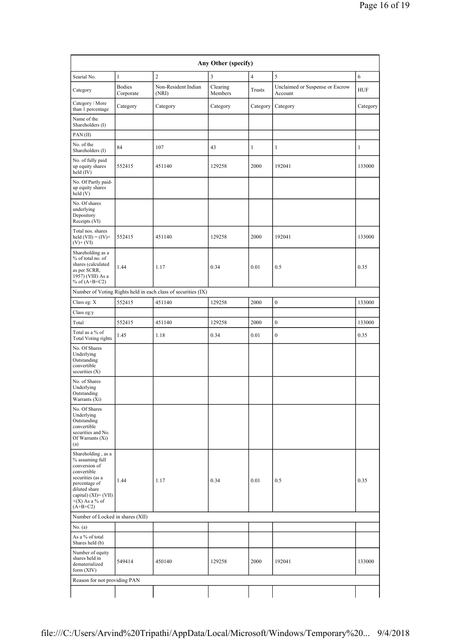| Any Other (specify)                                                                                                                                                                      |                            |                                                               |                     |                |                                            |            |
|------------------------------------------------------------------------------------------------------------------------------------------------------------------------------------------|----------------------------|---------------------------------------------------------------|---------------------|----------------|--------------------------------------------|------------|
| Searial No.                                                                                                                                                                              | $\mathbf{1}$               | $\overline{c}$                                                | 3                   | $\overline{4}$ | 5                                          | 6          |
| Category                                                                                                                                                                                 | <b>Bodies</b><br>Corporate | Non-Resident Indian<br>(NRI)                                  | Clearing<br>Members | Trusts         | Unclaimed or Suspense or Escrow<br>Account | <b>HUF</b> |
| Category / More<br>than 1 percentage                                                                                                                                                     | Category                   | Category                                                      | Category            | Category       | Category                                   | Category   |
| Name of the<br>Shareholders (I)                                                                                                                                                          |                            |                                                               |                     |                |                                            |            |
| PAN(II)                                                                                                                                                                                  |                            |                                                               |                     |                |                                            |            |
| No. of the<br>Shareholders (I)                                                                                                                                                           | 84                         | 107                                                           | 43                  | 1              | 1                                          | 1          |
| No. of fully paid<br>up equity shares<br>held (IV)                                                                                                                                       | 552415                     | 451140                                                        | 129258              | 2000           | 192041                                     | 133000     |
| No. Of Partly paid-<br>up equity shares<br>held (V)                                                                                                                                      |                            |                                                               |                     |                |                                            |            |
| No. Of shares<br>underlying<br>Depository<br>Receipts (VI)                                                                                                                               |                            |                                                               |                     |                |                                            |            |
| Total nos. shares<br>held $(VII) = (IV) +$<br>$(V)$ + $(VI)$                                                                                                                             | 552415                     | 451140                                                        | 129258              | 2000           | 192041                                     | 133000     |
| Shareholding as a<br>% of total no. of<br>shares (calculated<br>as per SCRR,<br>1957) (VIII) As a<br>% of $(A+B+C2)$                                                                     | 1.44                       | 1.17                                                          | 0.34                | 0.01           | 0.5                                        | 0.35       |
|                                                                                                                                                                                          |                            | Number of Voting Rights held in each class of securities (IX) |                     |                |                                            |            |
| Class eg: X                                                                                                                                                                              | 552415                     | 451140                                                        | 129258              | 2000           | $\boldsymbol{0}$                           | 133000     |
| Class eg:y                                                                                                                                                                               |                            |                                                               |                     |                |                                            |            |
| Total                                                                                                                                                                                    | 552415                     | 451140                                                        | 129258              | 2000           | $\boldsymbol{0}$                           | 133000     |
| Total as a % of<br><b>Total Voting rights</b>                                                                                                                                            | 1.45                       | 1.18                                                          | 0.34                | 0.01           | $\boldsymbol{0}$                           | 0.35       |
| No. Of Shares<br>Underlying<br>Outstanding<br>convertible<br>securities $(X)$                                                                                                            |                            |                                                               |                     |                |                                            |            |
| No. of Shares<br>Underlying<br>Outstanding<br>Warrants (Xi)                                                                                                                              |                            |                                                               |                     |                |                                            |            |
| No. Of Shares<br>Underlying<br>Outstanding<br>convertible<br>securities and No.<br>Of Warrants (Xi)<br>(a)                                                                               |                            |                                                               |                     |                |                                            |            |
| Shareholding, as a<br>% assuming full<br>conversion of<br>convertible<br>securities (as a<br>percentage of<br>diluted share<br>capital) $(XI) = (VII)$<br>$+(X)$ As a % of<br>$(A+B+C2)$ | 1.44                       | 1.17                                                          | 0.34                | 0.01           | 0.5                                        | 0.35       |
| Number of Locked in shares (XII)                                                                                                                                                         |                            |                                                               |                     |                |                                            |            |
| No. (a)                                                                                                                                                                                  |                            |                                                               |                     |                |                                            |            |
| As a % of total<br>Shares held (b)                                                                                                                                                       |                            |                                                               |                     |                |                                            |            |
| Number of equity<br>shares held in<br>dematerialized<br>form (XIV)                                                                                                                       | 549414                     | 450140                                                        | 129258              | 2000           | 192041                                     | 133000     |
| Reason for not providing PAN                                                                                                                                                             |                            |                                                               |                     |                |                                            |            |
|                                                                                                                                                                                          |                            |                                                               |                     |                |                                            |            |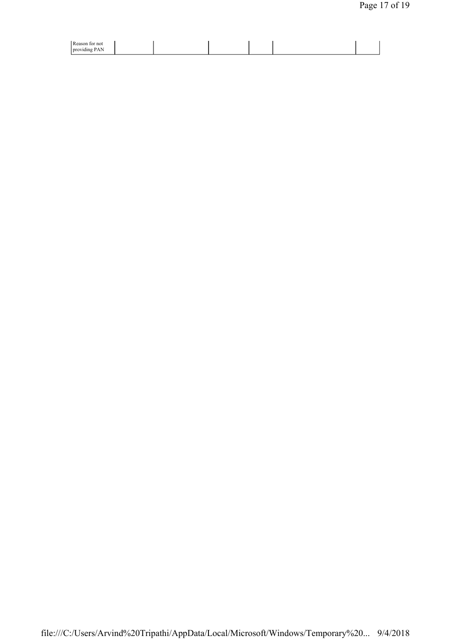| Reaso<br>not<br>νr          |  |  |  |
|-----------------------------|--|--|--|
| pro<br>юш<br>$\overline{1}$ |  |  |  |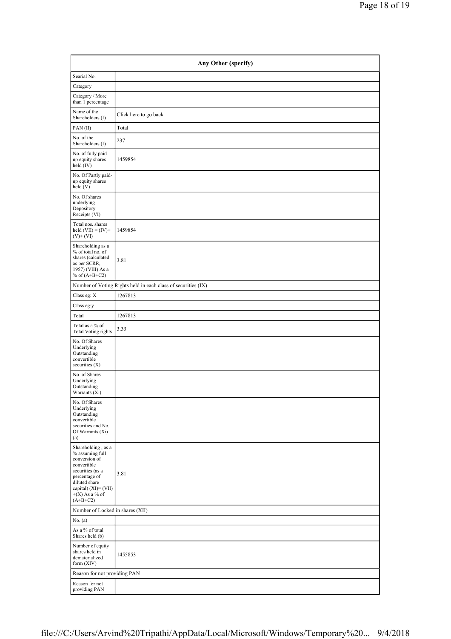| Any Other (specify)                                                                                                                                                                      |                                                               |  |  |  |  |
|------------------------------------------------------------------------------------------------------------------------------------------------------------------------------------------|---------------------------------------------------------------|--|--|--|--|
| Searial No.                                                                                                                                                                              |                                                               |  |  |  |  |
| Category                                                                                                                                                                                 |                                                               |  |  |  |  |
| Category / More<br>than 1 percentage                                                                                                                                                     |                                                               |  |  |  |  |
| Name of the<br>Shareholders (I)                                                                                                                                                          | Click here to go back                                         |  |  |  |  |
| PAN(II)                                                                                                                                                                                  | Total                                                         |  |  |  |  |
| No. of the<br>Shareholders (I)                                                                                                                                                           | 237                                                           |  |  |  |  |
| No. of fully paid<br>up equity shares<br>held (IV)                                                                                                                                       | 1459854                                                       |  |  |  |  |
| No. Of Partly paid-<br>up equity shares<br>held(V)                                                                                                                                       |                                                               |  |  |  |  |
| No. Of shares<br>underlying<br>Depository<br>Receipts (VI)                                                                                                                               |                                                               |  |  |  |  |
| Total nos. shares<br>held $(VII) = (IV) +$<br>$(V)+(VI)$                                                                                                                                 | 1459854                                                       |  |  |  |  |
| Shareholding as a<br>% of total no. of<br>shares (calculated<br>as per SCRR,<br>1957) (VIII) As a<br>% of $(A+B+C2)$                                                                     | 3.81                                                          |  |  |  |  |
|                                                                                                                                                                                          | Number of Voting Rights held in each class of securities (IX) |  |  |  |  |
| Class eg: $\mathbf X$                                                                                                                                                                    | 1267813                                                       |  |  |  |  |
| Class eg:y                                                                                                                                                                               |                                                               |  |  |  |  |
| Total                                                                                                                                                                                    | 1267813                                                       |  |  |  |  |
| Total as a % of<br><b>Total Voting rights</b>                                                                                                                                            | 3.33                                                          |  |  |  |  |
| No. Of Shares<br>Underlying<br>Outstanding<br>convertible<br>securities $(X)$                                                                                                            |                                                               |  |  |  |  |
| No. of Shares<br>Underlying<br>Outstanding<br>Warrants (Xi)                                                                                                                              |                                                               |  |  |  |  |
| No. Of Shares<br>Underlying<br>Outstanding<br>convertible<br>securities and No.<br>Of Warrants (Xi)<br>(a)                                                                               |                                                               |  |  |  |  |
| Shareholding, as a<br>% assuming full<br>conversion of<br>convertible<br>securities (as a<br>percentage of<br>diluted share<br>capital) $(XI) = (VII)$<br>$+(X)$ As a % of<br>$(A+B+C2)$ | 3.81                                                          |  |  |  |  |
| Number of Locked in shares (XII)                                                                                                                                                         |                                                               |  |  |  |  |
| No. (a)                                                                                                                                                                                  |                                                               |  |  |  |  |
| As a % of total<br>Shares held (b)                                                                                                                                                       |                                                               |  |  |  |  |
| Number of equity<br>shares held in<br>dematerialized<br>form $(XIV)$                                                                                                                     | 1455853                                                       |  |  |  |  |
| Reason for not providing PAN                                                                                                                                                             |                                                               |  |  |  |  |
| Reason for not<br>providing PAN                                                                                                                                                          |                                                               |  |  |  |  |